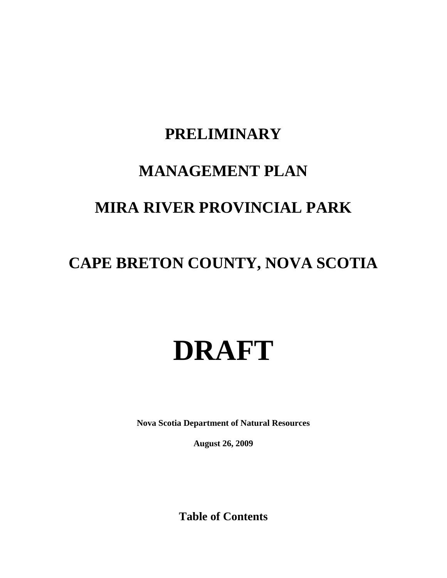# **PRELIMINARY**

# **MANAGEMENT PLAN**

# **MIRA RIVER PROVINCIAL PARK**

# **CAPE BRETON COUNTY, NOVA SCOTIA**

# **DRAFT**

**Nova Scotia Department of Natural Resources**

**August 26, 2009**

**Table of Contents**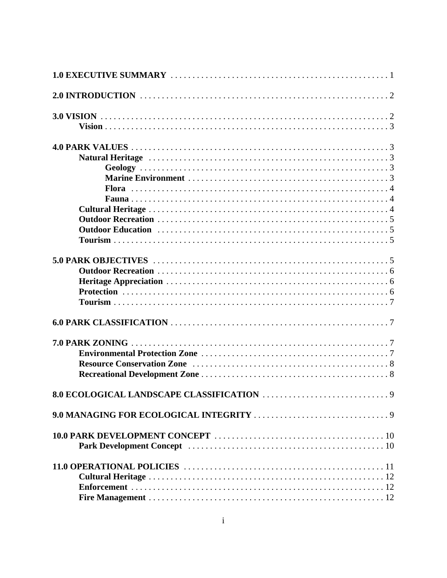| Park Development Concept (and all contracts) and all contracts of the contracts of the Development Concept (and all contracts) and all contracts of the Development Concept (and all contracts) and all contracts of the Devel |  |  |
|--------------------------------------------------------------------------------------------------------------------------------------------------------------------------------------------------------------------------------|--|--|
|                                                                                                                                                                                                                                |  |  |
|                                                                                                                                                                                                                                |  |  |
|                                                                                                                                                                                                                                |  |  |
|                                                                                                                                                                                                                                |  |  |
|                                                                                                                                                                                                                                |  |  |
|                                                                                                                                                                                                                                |  |  |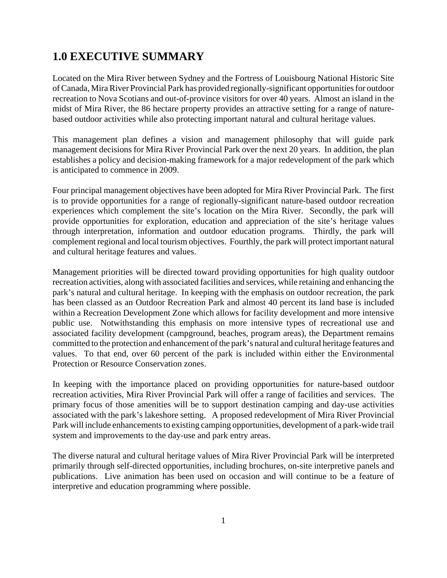### **1.0 EXECUTIVE SUMMARY**

Located on the Mira River between Sydney and the Fortress of Louisbourg National Historic Site of Canada, Mira River Provincial Park has provided regionally-significant opportunities for outdoor recreation to Nova Scotians and out-of-province visitors for over 40 years. Almost an island in the midst of Mira River, the 86 hectare property provides an attractive setting for a range of naturebased outdoor activities while also protecting important natural and cultural heritage values.

This management plan defines a vision and management philosophy that will guide park management decisions for Mira River Provincial Park over the next 20 years. In addition, the plan establishes a policy and decision-making framework for a major redevelopment of the park which is anticipated to commence in 2009.

Four principal management objectives have been adopted for Mira River Provincial Park. The first is to provide opportunities for a range of regionally-significant nature-based outdoor recreation experiences which complement the site's location on the Mira River. Secondly, the park will provide opportunities for exploration, education and appreciation of the site's heritage values through interpretation, information and outdoor education programs. Thirdly, the park will complement regional and local tourism objectives. Fourthly, the park will protect important natural and cultural heritage features and values.

Management priorities will be directed toward providing opportunities for high quality outdoor recreation activities, along with associated facilities and services, while retaining and enhancing the park's natural and cultural heritage. In keeping with the emphasis on outdoor recreation, the park has been classed as an Outdoor Recreation Park and almost 40 percent its land base is included within a Recreation Development Zone which allows for facility development and more intensive public use. Notwithstanding this emphasis on more intensive types of recreational use and associated facility development (campground, beaches, program areas), the Department remains committed to the protection and enhancement of the park's natural and cultural heritage features and values. To that end, over 60 percent of the park is included within either the Environmental Protection or Resource Conservation zones.

In keeping with the importance placed on providing opportunities for nature-based outdoor recreation activities, Mira River Provincial Park will offer a range of facilities and services. The primary focus of those amenities will be to support destination camping and day-use activities associated with the park's lakeshore setting. A proposed redevelopment of Mira River Provincial Park will include enhancements to existing camping opportunities, development of a park-wide trail system and improvements to the day-use and park entry areas.

The diverse natural and cultural heritage values of Mira River Provincial Park will be interpreted primarily through self-directed opportunities, including brochures, on-site interpretive panels and publications. Live animation has been used on occasion and will continue to be a feature of interpretive and education programming where possible.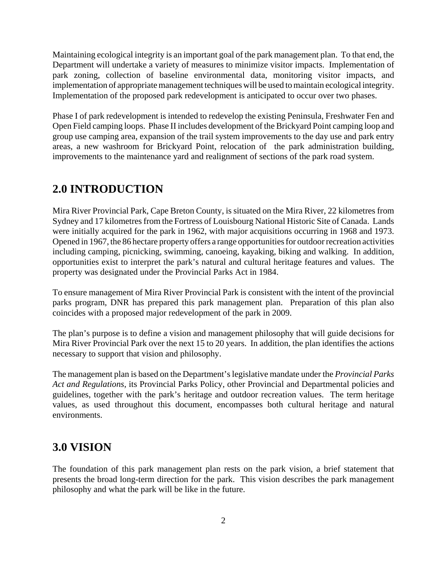Maintaining ecological integrity is an important goal of the park management plan. To that end, the Department will undertake a variety of measures to minimize visitor impacts. Implementation of park zoning, collection of baseline environmental data, monitoring visitor impacts, and implementation of appropriate management techniques will be used to maintain ecological integrity. Implementation of the proposed park redevelopment is anticipated to occur over two phases.

Phase I of park redevelopment is intended to redevelop the existing Peninsula, Freshwater Fen and Open Field camping loops. Phase II includes development of the Brickyard Point camping loop and group use camping area, expansion of the trail system improvements to the day use and park entry areas, a new washroom for Brickyard Point, relocation of the park administration building, improvements to the maintenance yard and realignment of sections of the park road system.

### **2.0 INTRODUCTION**

Mira River Provincial Park, Cape Breton County, is situated on the Mira River, 22 kilometres from Sydney and 17 kilometres from the Fortress of Louisbourg National Historic Site of Canada. Lands were initially acquired for the park in 1962, with major acquisitions occurring in 1968 and 1973. Opened in 1967, the 86 hectare property offers a range opportunities for outdoor recreation activities including camping, picnicking, swimming, canoeing, kayaking, biking and walking. In addition, opportunities exist to interpret the park's natural and cultural heritage features and values. The property was designated under the Provincial Parks Act in 1984.

To ensure management of Mira River Provincial Park is consistent with the intent of the provincial parks program, DNR has prepared this park management plan. Preparation of this plan also coincides with a proposed major redevelopment of the park in 2009.

The plan's purpose is to define a vision and management philosophy that will guide decisions for Mira River Provincial Park over the next 15 to 20 years. In addition, the plan identifies the actions necessary to support that vision and philosophy.

The management plan is based on the Department's legislative mandate under the *Provincial Parks Act and Regulations*, its Provincial Parks Policy, other Provincial and Departmental policies and guidelines, together with the park's heritage and outdoor recreation values. The term heritage values, as used throughout this document, encompasses both cultural heritage and natural environments.

### **3.0 VISION**

The foundation of this park management plan rests on the park vision, a brief statement that presents the broad long-term direction for the park. This vision describes the park management philosophy and what the park will be like in the future.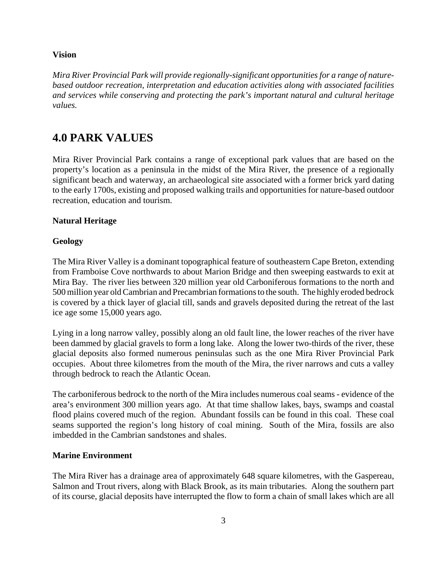#### **Vision**

*Mira River Provincial Park will provide regionally-significant opportunities for a range of naturebased outdoor recreation, interpretation and education activities along with associated facilities and services while conserving and protecting the park's important natural and cultural heritage values.*

### **4.0 PARK VALUES**

Mira River Provincial Park contains a range of exceptional park values that are based on the property's location as a peninsula in the midst of the Mira River, the presence of a regionally significant beach and waterway, an archaeological site associated with a former brick yard dating to the early 1700s, existing and proposed walking trails and opportunities for nature-based outdoor recreation, education and tourism.

#### **Natural Heritage**

#### **Geology**

The Mira River Valley is a dominant topographical feature of southeastern Cape Breton, extending from Framboise Cove northwards to about Marion Bridge and then sweeping eastwards to exit at Mira Bay. The river lies between 320 million year old Carboniferous formations to the north and 500 million year old Cambrian and Precambrian formations to the south. The highly eroded bedrock is covered by a thick layer of glacial till, sands and gravels deposited during the retreat of the last ice age some 15,000 years ago.

Lying in a long narrow valley, possibly along an old fault line, the lower reaches of the river have been dammed by glacial gravels to form a long lake. Along the lower two-thirds of the river, these glacial deposits also formed numerous peninsulas such as the one Mira River Provincial Park occupies. About three kilometres from the mouth of the Mira, the river narrows and cuts a valley through bedrock to reach the Atlantic Ocean.

The carboniferous bedrock to the north of the Mira includes numerous coal seams - evidence of the area's environment 300 million years ago. At that time shallow lakes, bays, swamps and coastal flood plains covered much of the region. Abundant fossils can be found in this coal. These coal seams supported the region's long history of coal mining. South of the Mira, fossils are also imbedded in the Cambrian sandstones and shales.

#### **Marine Environment**

The Mira River has a drainage area of approximately 648 square kilometres, with the Gaspereau, Salmon and Trout rivers, along with Black Brook, as its main tributaries. Along the southern part of its course, glacial deposits have interrupted the flow to form a chain of small lakes which are all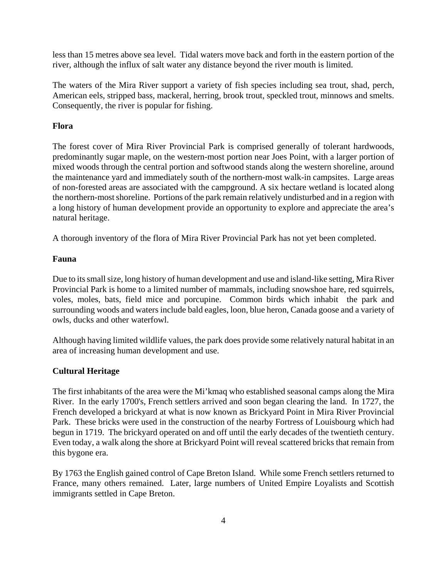less than 15 metres above sea level. Tidal waters move back and forth in the eastern portion of the river, although the influx of salt water any distance beyond the river mouth is limited.

The waters of the Mira River support a variety of fish species including sea trout, shad, perch, American eels, stripped bass, mackeral, herring, brook trout, speckled trout, minnows and smelts. Consequently, the river is popular for fishing.

#### **Flora**

The forest cover of Mira River Provincial Park is comprised generally of tolerant hardwoods, predominantly sugar maple, on the western-most portion near Joes Point, with a larger portion of mixed woods through the central portion and softwood stands along the western shoreline, around the maintenance yard and immediately south of the northern-most walk-in campsites. Large areas of non-forested areas are associated with the campground. A six hectare wetland is located along the northern-most shoreline. Portions of the park remain relatively undisturbed and in a region with a long history of human development provide an opportunity to explore and appreciate the area's natural heritage.

A thorough inventory of the flora of Mira River Provincial Park has not yet been completed.

#### **Fauna**

Due to its small size, long history of human development and use and island-like setting, Mira River Provincial Park is home to a limited number of mammals, including snowshoe hare, red squirrels, voles, moles, bats, field mice and porcupine. Common birds which inhabit the park and surrounding woods and waters include bald eagles, loon, blue heron, Canada goose and a variety of owls, ducks and other waterfowl.

Although having limited wildlife values, the park does provide some relatively natural habitat in an area of increasing human development and use.

### **Cultural Heritage**

The first inhabitants of the area were the Mi'kmaq who established seasonal camps along the Mira River. In the early 1700's, French settlers arrived and soon began clearing the land. In 1727, the French developed a brickyard at what is now known as Brickyard Point in Mira River Provincial Park. These bricks were used in the construction of the nearby Fortress of Louisbourg which had begun in 1719. The brickyard operated on and off until the early decades of the twentieth century. Even today, a walk along the shore at Brickyard Point will reveal scattered bricks that remain from this bygone era.

By 1763 the English gained control of Cape Breton Island. While some French settlers returned to France, many others remained. Later, large numbers of United Empire Loyalists and Scottish immigrants settled in Cape Breton.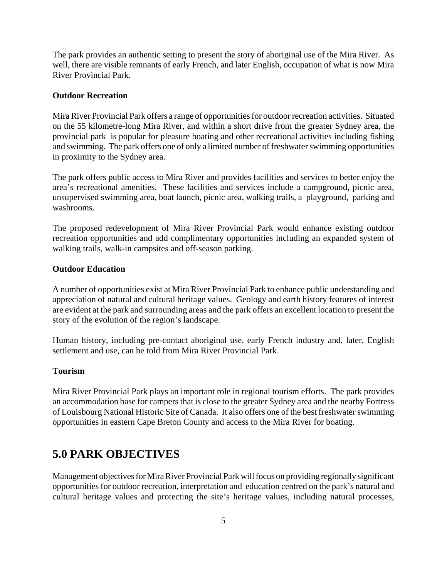The park provides an authentic setting to present the story of aboriginal use of the Mira River. As well, there are visible remnants of early French, and later English, occupation of what is now Mira River Provincial Park.

#### **Outdoor Recreation**

Mira River Provincial Park offers a range of opportunities for outdoor recreation activities. Situated on the 55 kilometre-long Mira River, and within a short drive from the greater Sydney area, the provincial park is popular for pleasure boating and other recreational activities including fishing and swimming. The park offers one of only a limited number of freshwater swimming opportunities in proximity to the Sydney area.

The park offers public access to Mira River and provides facilities and services to better enjoy the area's recreational amenities. These facilities and services include a campground, picnic area, unsupervised swimming area, boat launch, picnic area, walking trails, a playground, parking and washrooms.

The proposed redevelopment of Mira River Provincial Park would enhance existing outdoor recreation opportunities and add complimentary opportunities including an expanded system of walking trails, walk-in campsites and off-season parking.

#### **Outdoor Education**

A number of opportunities exist at Mira River Provincial Park to enhance public understanding and appreciation of natural and cultural heritage values. Geology and earth history features of interest are evident at the park and surrounding areas and the park offers an excellent location to present the story of the evolution of the region's landscape.

Human history, including pre-contact aboriginal use, early French industry and, later, English settlement and use, can be told from Mira River Provincial Park.

#### **Tourism**

Mira River Provincial Park plays an important role in regional tourism efforts. The park provides an accommodation base for campers that is close to the greater Sydney area and the nearby Fortress of Louisbourg National Historic Site of Canada. It also offers one of the best freshwater swimming opportunities in eastern Cape Breton County and access to the Mira River for boating.

### **5.0 PARK OBJECTIVES**

Management objectives for Mira River Provincial Park will focus on providing regionally significant opportunities for outdoor recreation, interpretation and education centred on the park's natural and cultural heritage values and protecting the site's heritage values, including natural processes,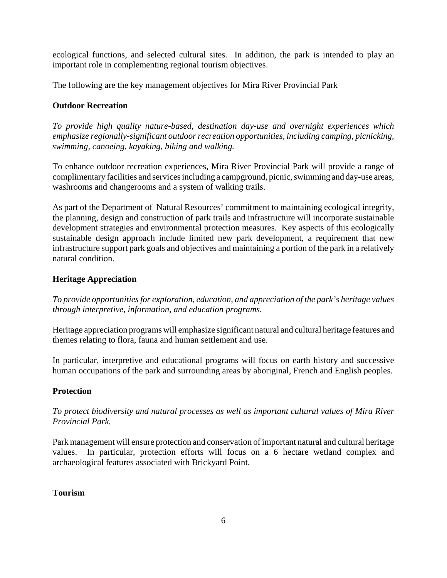ecological functions, and selected cultural sites. In addition, the park is intended to play an important role in complementing regional tourism objectives.

The following are the key management objectives for Mira River Provincial Park

#### **Outdoor Recreation**

*To provide high quality nature-based, destination day-use and overnight experiences which emphasize regionally-significant outdoor recreation opportunities, including camping, picnicking, swimming, canoeing, kayaking, biking and walking.*

To enhance outdoor recreation experiences, Mira River Provincial Park will provide a range of complimentary facilities and services including a campground, picnic, swimming and day-use areas, washrooms and changerooms and a system of walking trails.

As part of the Department of Natural Resources' commitment to maintaining ecological integrity, the planning, design and construction of park trails and infrastructure will incorporate sustainable development strategies and environmental protection measures. Key aspects of this ecologically sustainable design approach include limited new park development, a requirement that new infrastructure support park goals and objectives and maintaining a portion of the park in a relatively natural condition.

#### **Heritage Appreciation**

*To provide opportunities for exploration, education, and appreciation of the park's heritage values through interpretive, information, and education programs.*

Heritage appreciation programs will emphasize significant natural and cultural heritage features and themes relating to flora, fauna and human settlement and use.

In particular, interpretive and educational programs will focus on earth history and successive human occupations of the park and surrounding areas by aboriginal, French and English peoples.

### **Protection**

*To protect biodiversity and natural processes as well as important cultural values of Mira River Provincial Park.*

Park management will ensure protection and conservation of important natural and cultural heritage values. In particular, protection efforts will focus on a 6 hectare wetland complex and archaeological features associated with Brickyard Point.

#### **Tourism**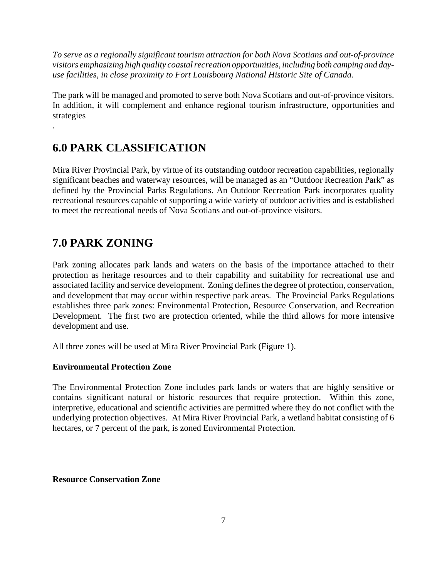*To serve as a regionally significant tourism attraction for both Nova Scotians and out-of-province visitors emphasizing high quality coastal recreation opportunities, including both camping and dayuse facilities, in close proximity to Fort Louisbourg National Historic Site of Canada.*

The park will be managed and promoted to serve both Nova Scotians and out-of-province visitors. In addition, it will complement and enhance regional tourism infrastructure, opportunities and strategies

### **6.0 PARK CLASSIFICATION**

Mira River Provincial Park, by virtue of its outstanding outdoor recreation capabilities, regionally significant beaches and waterway resources, will be managed as an "Outdoor Recreation Park" as defined by the Provincial Parks Regulations. An Outdoor Recreation Park incorporates quality recreational resources capable of supporting a wide variety of outdoor activities and is established to meet the recreational needs of Nova Scotians and out-of-province visitors.

### **7.0 PARK ZONING**

.

Park zoning allocates park lands and waters on the basis of the importance attached to their protection as heritage resources and to their capability and suitability for recreational use and associated facility and service development. Zoning defines the degree of protection, conservation, and development that may occur within respective park areas. The Provincial Parks Regulations establishes three park zones: Environmental Protection, Resource Conservation, and Recreation Development. The first two are protection oriented, while the third allows for more intensive development and use.

All three zones will be used at Mira River Provincial Park (Figure 1).

### **Environmental Protection Zone**

The Environmental Protection Zone includes park lands or waters that are highly sensitive or contains significant natural or historic resources that require protection. Within this zone, interpretive, educational and scientific activities are permitted where they do not conflict with the underlying protection objectives. At Mira River Provincial Park, a wetland habitat consisting of 6 hectares, or 7 percent of the park, is zoned Environmental Protection.

#### **Resource Conservation Zone**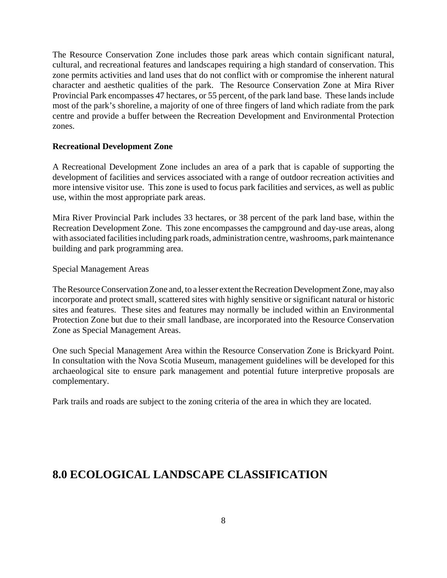The Resource Conservation Zone includes those park areas which contain significant natural, cultural, and recreational features and landscapes requiring a high standard of conservation. This zone permits activities and land uses that do not conflict with or compromise the inherent natural character and aesthetic qualities of the park. The Resource Conservation Zone at Mira River Provincial Park encompasses 47 hectares, or 55 percent, of the park land base. These lands include most of the park's shoreline, a majority of one of three fingers of land which radiate from the park centre and provide a buffer between the Recreation Development and Environmental Protection zones.

#### **Recreational Development Zone**

A Recreational Development Zone includes an area of a park that is capable of supporting the development of facilities and services associated with a range of outdoor recreation activities and more intensive visitor use. This zone is used to focus park facilities and services, as well as public use, within the most appropriate park areas.

Mira River Provincial Park includes 33 hectares, or 38 percent of the park land base, within the Recreation Development Zone. This zone encompasses the campground and day-use areas, along with associated facilities including park roads, administration centre, washrooms, park maintenance building and park programming area.

#### Special Management Areas

The Resource Conservation Zone and, to a lesser extent the Recreation Development Zone, may also incorporate and protect small, scattered sites with highly sensitive or significant natural or historic sites and features. These sites and features may normally be included within an Environmental Protection Zone but due to their small landbase, are incorporated into the Resource Conservation Zone as Special Management Areas.

One such Special Management Area within the Resource Conservation Zone is Brickyard Point. In consultation with the Nova Scotia Museum, management guidelines will be developed for this archaeological site to ensure park management and potential future interpretive proposals are complementary.

Park trails and roads are subject to the zoning criteria of the area in which they are located.

### **8.0 ECOLOGICAL LANDSCAPE CLASSIFICATION**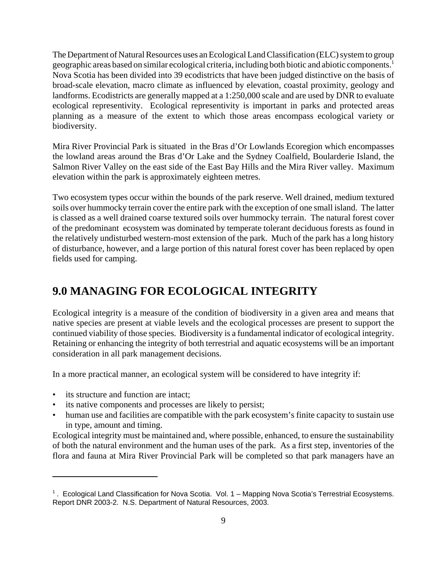The Department of Natural Resources uses an Ecological Land Classification (ELC) system to group geographic areas based on similar ecological criteria, including both biotic and abiotic components.1 Nova Scotia has been divided into 39 ecodistricts that have been judged distinctive on the basis of broad-scale elevation, macro climate as influenced by elevation, coastal proximity, geology and landforms. Ecodistricts are generally mapped at a 1:250,000 scale and are used by DNR to evaluate ecological representivity. Ecological representivity is important in parks and protected areas planning as a measure of the extent to which those areas encompass ecological variety or biodiversity.

Mira River Provincial Park is situated in the Bras d'Or Lowlands Ecoregion which encompasses the lowland areas around the Bras d'Or Lake and the Sydney Coalfield, Boularderie Island, the Salmon River Valley on the east side of the East Bay Hills and the Mira River valley. Maximum elevation within the park is approximately eighteen metres.

Two ecosystem types occur within the bounds of the park reserve. Well drained, medium textured soils over hummocky terrain cover the entire park with the exception of one small island. The latter is classed as a well drained coarse textured soils over hummocky terrain. The natural forest cover of the predominant ecosystem was dominated by temperate tolerant deciduous forests as found in the relatively undisturbed western-most extension of the park. Much of the park has a long history of disturbance, however, and a large portion of this natural forest cover has been replaced by open fields used for camping.

### **9.0 MANAGING FOR ECOLOGICAL INTEGRITY**

Ecological integrity is a measure of the condition of biodiversity in a given area and means that native species are present at viable levels and the ecological processes are present to support the continued viability of those species. Biodiversity is a fundamental indicator of ecological integrity. Retaining or enhancing the integrity of both terrestrial and aquatic ecosystems will be an important consideration in all park management decisions.

In a more practical manner, an ecological system will be considered to have integrity if:

- its structure and function are intact:
- its native components and processes are likely to persist;
- human use and facilities are compatible with the park ecosystem's finite capacity to sustain use in type, amount and timing.

Ecological integrity must be maintained and, where possible, enhanced, to ensure the sustainability of both the natural environment and the human uses of the park. As a first step, inventories of the flora and fauna at Mira River Provincial Park will be completed so that park managers have an

<sup>&</sup>lt;sup>1</sup>. Ecological Land Classification for Nova Scotia. Vol. 1 – Mapping Nova Scotia's Terrestrial Ecosystems. Report DNR 2003-2. N.S. Department of Natural Resources, 2003.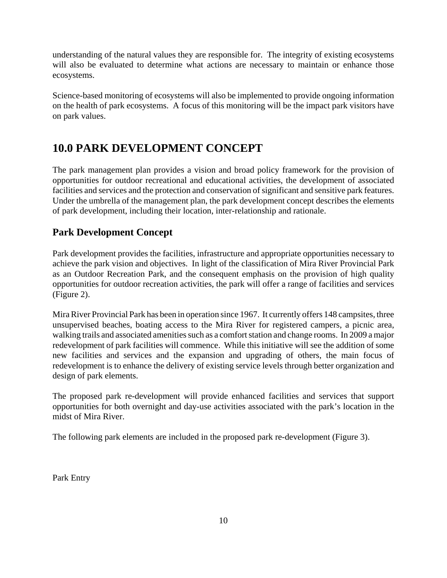understanding of the natural values they are responsible for. The integrity of existing ecosystems will also be evaluated to determine what actions are necessary to maintain or enhance those ecosystems.

Science-based monitoring of ecosystems will also be implemented to provide ongoing information on the health of park ecosystems. A focus of this monitoring will be the impact park visitors have on park values.

### **10.0 PARK DEVELOPMENT CONCEPT**

The park management plan provides a vision and broad policy framework for the provision of opportunities for outdoor recreational and educational activities, the development of associated facilities and services and the protection and conservation of significant and sensitive park features. Under the umbrella of the management plan, the park development concept describes the elements of park development, including their location, inter-relationship and rationale.

### **Park Development Concept**

Park development provides the facilities, infrastructure and appropriate opportunities necessary to achieve the park vision and objectives. In light of the classification of Mira River Provincial Park as an Outdoor Recreation Park, and the consequent emphasis on the provision of high quality opportunities for outdoor recreation activities, the park will offer a range of facilities and services (Figure 2).

Mira River Provincial Park has been in operation since 1967. It currently offers 148 campsites, three unsupervised beaches, boating access to the Mira River for registered campers, a picnic area, walking trails and associated amenities such as a comfort station and change rooms. In 2009 a major redevelopment of park facilities will commence. While this initiative will see the addition of some new facilities and services and the expansion and upgrading of others, the main focus of redevelopment is to enhance the delivery of existing service levels through better organization and design of park elements.

The proposed park re-development will provide enhanced facilities and services that support opportunities for both overnight and day-use activities associated with the park's location in the midst of Mira River.

The following park elements are included in the proposed park re-development (Figure 3).

Park Entry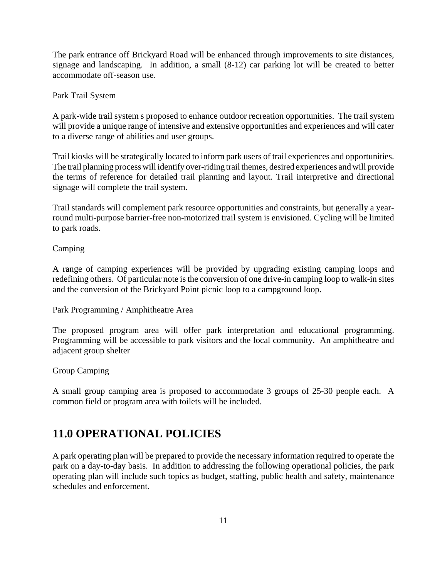The park entrance off Brickyard Road will be enhanced through improvements to site distances, signage and landscaping. In addition, a small (8-12) car parking lot will be created to better accommodate off-season use.

Park Trail System

A park-wide trail system s proposed to enhance outdoor recreation opportunities. The trail system will provide a unique range of intensive and extensive opportunities and experiences and will cater to a diverse range of abilities and user groups.

Trail kiosks will be strategically located to inform park users of trail experiences and opportunities. The trail planning process will identify over-riding trail themes, desired experiences and will provide the terms of reference for detailed trail planning and layout. Trail interpretive and directional signage will complete the trail system.

Trail standards will complement park resource opportunities and constraints, but generally a yearround multi-purpose barrier-free non-motorized trail system is envisioned. Cycling will be limited to park roads.

Camping

A range of camping experiences will be provided by upgrading existing camping loops and redefining others. Of particular note is the conversion of one drive-in camping loop to walk-in sites and the conversion of the Brickyard Point picnic loop to a campground loop.

Park Programming / Amphitheatre Area

The proposed program area will offer park interpretation and educational programming. Programming will be accessible to park visitors and the local community. An amphitheatre and adjacent group shelter

Group Camping

A small group camping area is proposed to accommodate 3 groups of 25-30 people each. A common field or program area with toilets will be included.

### **11.0 OPERATIONAL POLICIES**

A park operating plan will be prepared to provide the necessary information required to operate the park on a day-to-day basis. In addition to addressing the following operational policies, the park operating plan will include such topics as budget, staffing, public health and safety, maintenance schedules and enforcement.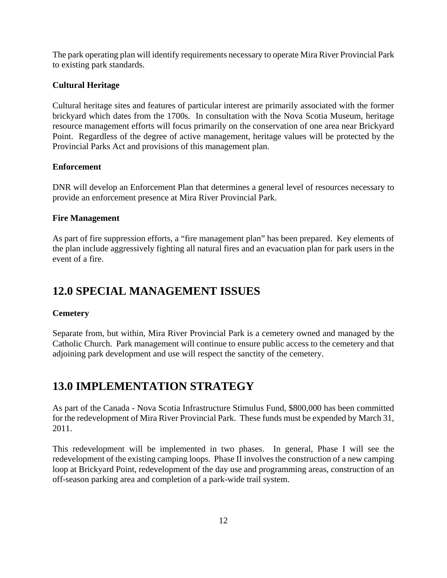The park operating plan will identify requirements necessary to operate Mira River Provincial Park to existing park standards.

#### **Cultural Heritage**

Cultural heritage sites and features of particular interest are primarily associated with the former brickyard which dates from the 1700s. In consultation with the Nova Scotia Museum, heritage resource management efforts will focus primarily on the conservation of one area near Brickyard Point. Regardless of the degree of active management, heritage values will be protected by the Provincial Parks Act and provisions of this management plan.

#### **Enforcement**

DNR will develop an Enforcement Plan that determines a general level of resources necessary to provide an enforcement presence at Mira River Provincial Park.

#### **Fire Management**

As part of fire suppression efforts, a "fire management plan" has been prepared. Key elements of the plan include aggressively fighting all natural fires and an evacuation plan for park users in the event of a fire.

### **12.0 SPECIAL MANAGEMENT ISSUES**

### **Cemetery**

Separate from, but within, Mira River Provincial Park is a cemetery owned and managed by the Catholic Church. Park management will continue to ensure public access to the cemetery and that adjoining park development and use will respect the sanctity of the cemetery.

### **13.0 IMPLEMENTATION STRATEGY**

As part of the Canada - Nova Scotia Infrastructure Stimulus Fund, \$800,000 has been committed for the redevelopment of Mira River Provincial Park. These funds must be expended by March 31, 2011.

This redevelopment will be implemented in two phases. In general, Phase I will see the redevelopment of the existing camping loops. Phase II involves the construction of a new camping loop at Brickyard Point, redevelopment of the day use and programming areas, construction of an off-season parking area and completion of a park-wide trail system.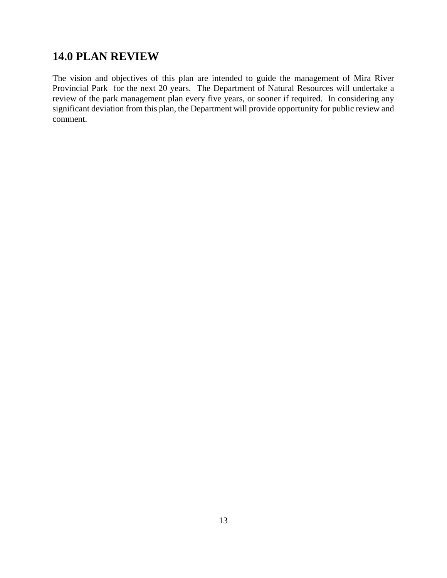### **14.0 PLAN REVIEW**

The vision and objectives of this plan are intended to guide the management of Mira River Provincial Park for the next 20 years. The Department of Natural Resources will undertake a review of the park management plan every five years, or sooner if required. In considering any significant deviation from this plan, the Department will provide opportunity for public review and comment.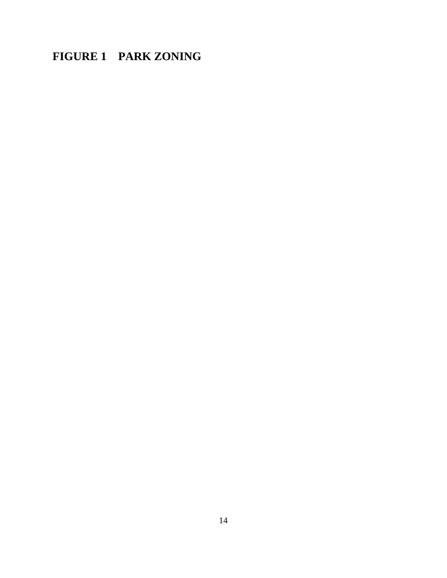### **FIGURE 1 PARK ZONING**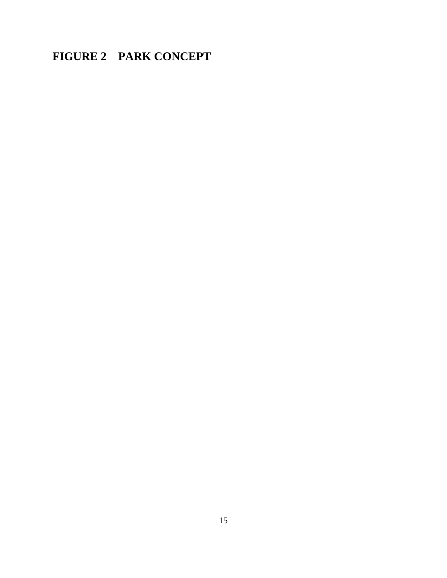### **FIGURE 2 PARK CONCEPT**